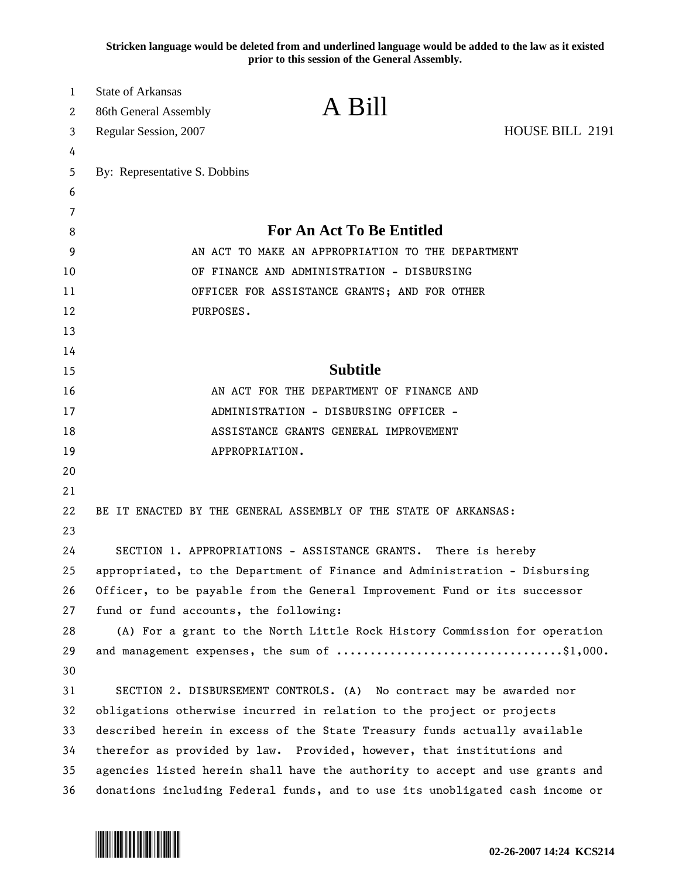**Stricken language would be deleted from and underlined language would be added to the law as it existed prior to this session of the General Assembly.**

| 1<br>2 | <b>State of Arkansas</b><br>86th General Assembly                            | A Bill                                                                       |                 |  |
|--------|------------------------------------------------------------------------------|------------------------------------------------------------------------------|-----------------|--|
| 3      | Regular Session, 2007                                                        |                                                                              | HOUSE BILL 2191 |  |
| 4      |                                                                              |                                                                              |                 |  |
| 5      | By: Representative S. Dobbins                                                |                                                                              |                 |  |
| 6      |                                                                              |                                                                              |                 |  |
| 7      |                                                                              |                                                                              |                 |  |
| 8      |                                                                              | <b>For An Act To Be Entitled</b>                                             |                 |  |
| 9      | AN ACT TO MAKE AN APPROPRIATION TO THE DEPARTMENT                            |                                                                              |                 |  |
| 10     |                                                                              | OF FINANCE AND ADMINISTRATION - DISBURSING                                   |                 |  |
| 11     | OFFICER FOR ASSISTANCE GRANTS; AND FOR OTHER                                 |                                                                              |                 |  |
| 12     | PURPOSES.                                                                    |                                                                              |                 |  |
| 13     |                                                                              |                                                                              |                 |  |
| 14     |                                                                              |                                                                              |                 |  |
| 15     | <b>Subtitle</b>                                                              |                                                                              |                 |  |
| 16     |                                                                              | AN ACT FOR THE DEPARTMENT OF FINANCE AND                                     |                 |  |
| 17     | ADMINISTRATION - DISBURSING OFFICER -                                        |                                                                              |                 |  |
| 18     | ASSISTANCE GRANTS GENERAL IMPROVEMENT                                        |                                                                              |                 |  |
| 19     |                                                                              | APPROPRIATION.                                                               |                 |  |
| 20     |                                                                              |                                                                              |                 |  |
| 21     |                                                                              |                                                                              |                 |  |
| 22     |                                                                              | BE IT ENACTED BY THE GENERAL ASSEMBLY OF THE STATE OF ARKANSAS:              |                 |  |
| 23     |                                                                              |                                                                              |                 |  |
| 24     |                                                                              | SECTION 1. APPROPRIATIONS - ASSISTANCE GRANTS.                               | There is hereby |  |
| 25     | appropriated, to the Department of Finance and Administration - Disbursing   |                                                                              |                 |  |
| 26     | Officer, to be payable from the General Improvement Fund or its successor    |                                                                              |                 |  |
| 27     | fund or fund accounts, the following:                                        |                                                                              |                 |  |
| 28     |                                                                              | (A) For a grant to the North Little Rock History Commission for operation    |                 |  |
| 29     |                                                                              |                                                                              |                 |  |
| 30     |                                                                              |                                                                              |                 |  |
| 31     |                                                                              | SECTION 2. DISBURSEMENT CONTROLS. (A) No contract may be awarded nor         |                 |  |
| 32     | obligations otherwise incurred in relation to the project or projects        |                                                                              |                 |  |
| 33     | described herein in excess of the State Treasury funds actually available    |                                                                              |                 |  |
| 34     |                                                                              | therefor as provided by law. Provided, however, that institutions and        |                 |  |
| 35     |                                                                              | agencies listed herein shall have the authority to accept and use grants and |                 |  |
| 36     | donations including Federal funds, and to use its unobligated cash income or |                                                                              |                 |  |